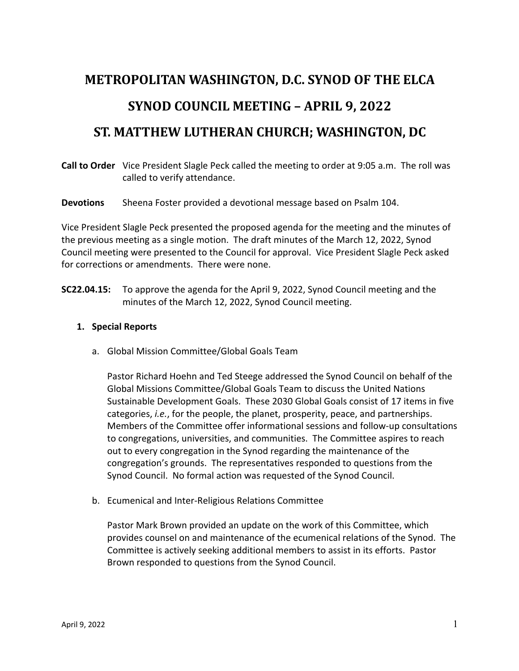# **METROPOLITAN WASHINGTON, D.C. SYNOD OF THE ELCA SYNOD COUNCIL MEETING - APRIL 9, 2022**

## **ST. MATTHEW LUTHERAN CHURCH; WASHINGTON, DC**

**Call to Order** Vice President Slagle Peck called the meeting to order at 9:05 a.m. The roll was called to verify attendance.

**Devotions** Sheena Foster provided a devotional message based on Psalm 104.

Vice President Slagle Peck presented the proposed agenda for the meeting and the minutes of the previous meeting as a single motion. The draft minutes of the March 12, 2022, Synod Council meeting were presented to the Council for approval. Vice President Slagle Peck asked for corrections or amendments. There were none.

**SC22.04.15:** To approve the agenda for the April 9, 2022, Synod Council meeting and the minutes of the March 12, 2022, Synod Council meeting.

#### **1. Special Reports**

a. Global Mission Committee/Global Goals Team

Pastor Richard Hoehn and Ted Steege addressed the Synod Council on behalf of the Global Missions Committee/Global Goals Team to discuss the United Nations Sustainable Development Goals. These 2030 Global Goals consist of 17 items in five categories, *i.e.*, for the people, the planet, prosperity, peace, and partnerships. Members of the Committee offer informational sessions and follow-up consultations to congregations, universities, and communities. The Committee aspires to reach out to every congregation in the Synod regarding the maintenance of the congregation's grounds. The representatives responded to questions from the Synod Council. No formal action was requested of the Synod Council.

b. Ecumenical and Inter-Religious Relations Committee

Pastor Mark Brown provided an update on the work of this Committee, which provides counsel on and maintenance of the ecumenical relations of the Synod. The Committee is actively seeking additional members to assist in its efforts. Pastor Brown responded to questions from the Synod Council.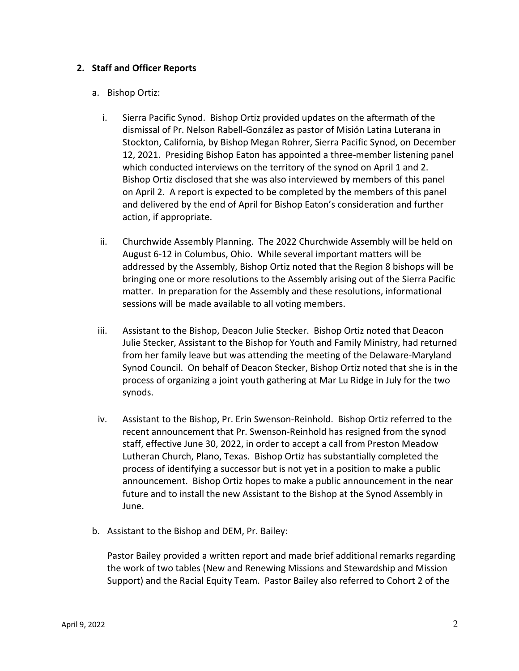### **2. Staff and Officer Reports**

#### a. Bishop Ortiz:

- i. Sierra Pacific Synod. Bishop Ortiz provided updates on the aftermath of the dismissal of Pr. Nelson Rabell-González as pastor of Misión Latina Luterana in Stockton, California, by Bishop Megan Rohrer, Sierra Pacific Synod, on December 12, 2021. Presiding Bishop Eaton has appointed a three-member listening panel which conducted interviews on the territory of the synod on April 1 and 2. Bishop Ortiz disclosed that she was also interviewed by members of this panel on April 2. A report is expected to be completed by the members of this panel and delivered by the end of April for Bishop Eaton's consideration and further action, if appropriate.
- ii. Churchwide Assembly Planning. The 2022 Churchwide Assembly will be held on August 6-12 in Columbus, Ohio. While several important matters will be addressed by the Assembly, Bishop Ortiz noted that the Region 8 bishops will be bringing one or more resolutions to the Assembly arising out of the Sierra Pacific matter. In preparation for the Assembly and these resolutions, informational sessions will be made available to all voting members.
- iii. Assistant to the Bishop, Deacon Julie Stecker. Bishop Ortiz noted that Deacon Julie Stecker, Assistant to the Bishop for Youth and Family Ministry, had returned from her family leave but was attending the meeting of the Delaware-Maryland Synod Council. On behalf of Deacon Stecker, Bishop Ortiz noted that she is in the process of organizing a joint youth gathering at Mar Lu Ridge in July for the two synods.
- iv. Assistant to the Bishop, Pr. Erin Swenson-Reinhold. Bishop Ortiz referred to the recent announcement that Pr. Swenson-Reinhold has resigned from the synod staff, effective June 30, 2022, in order to accept a call from Preston Meadow Lutheran Church, Plano, Texas. Bishop Ortiz has substantially completed the process of identifying a successor but is not yet in a position to make a public announcement. Bishop Ortiz hopes to make a public announcement in the near future and to install the new Assistant to the Bishop at the Synod Assembly in June.
- b. Assistant to the Bishop and DEM, Pr. Bailey:

Pastor Bailey provided a written report and made brief additional remarks regarding the work of two tables (New and Renewing Missions and Stewardship and Mission Support) and the Racial Equity Team. Pastor Bailey also referred to Cohort 2 of the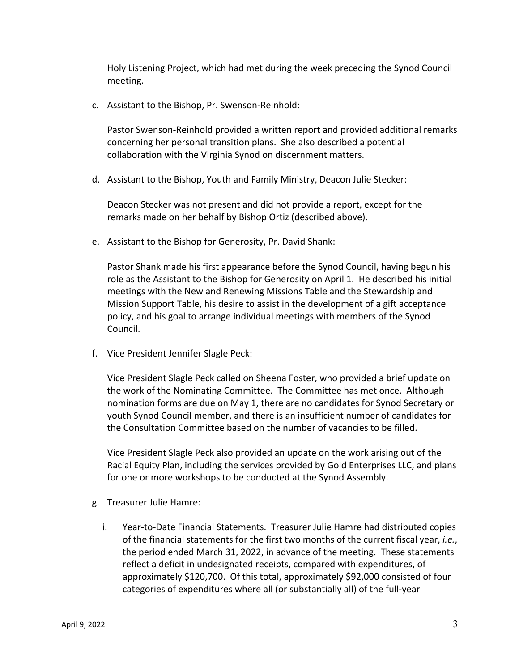Holy Listening Project, which had met during the week preceding the Synod Council meeting.

c. Assistant to the Bishop, Pr. Swenson-Reinhold:

Pastor Swenson-Reinhold provided a written report and provided additional remarks concerning her personal transition plans. She also described a potential collaboration with the Virginia Synod on discernment matters.

d. Assistant to the Bishop, Youth and Family Ministry, Deacon Julie Stecker:

Deacon Stecker was not present and did not provide a report, except for the remarks made on her behalf by Bishop Ortiz (described above).

e. Assistant to the Bishop for Generosity, Pr. David Shank:

Pastor Shank made his first appearance before the Synod Council, having begun his role as the Assistant to the Bishop for Generosity on April 1. He described his initial meetings with the New and Renewing Missions Table and the Stewardship and Mission Support Table, his desire to assist in the development of a gift acceptance policy, and his goal to arrange individual meetings with members of the Synod Council.

f. Vice President Jennifer Slagle Peck:

Vice President Slagle Peck called on Sheena Foster, who provided a brief update on the work of the Nominating Committee. The Committee has met once. Although nomination forms are due on May 1, there are no candidates for Synod Secretary or youth Synod Council member, and there is an insufficient number of candidates for the Consultation Committee based on the number of vacancies to be filled.

Vice President Slagle Peck also provided an update on the work arising out of the Racial Equity Plan, including the services provided by Gold Enterprises LLC, and plans for one or more workshops to be conducted at the Synod Assembly.

- g. Treasurer Julie Hamre:
	- i. Year-to-Date Financial Statements. Treasurer Julie Hamre had distributed copies of the financial statements for the first two months of the current fiscal year, *i.e.*, the period ended March 31, 2022, in advance of the meeting. These statements reflect a deficit in undesignated receipts, compared with expenditures, of approximately \$120,700. Of this total, approximately \$92,000 consisted of four categories of expenditures where all (or substantially all) of the full-year